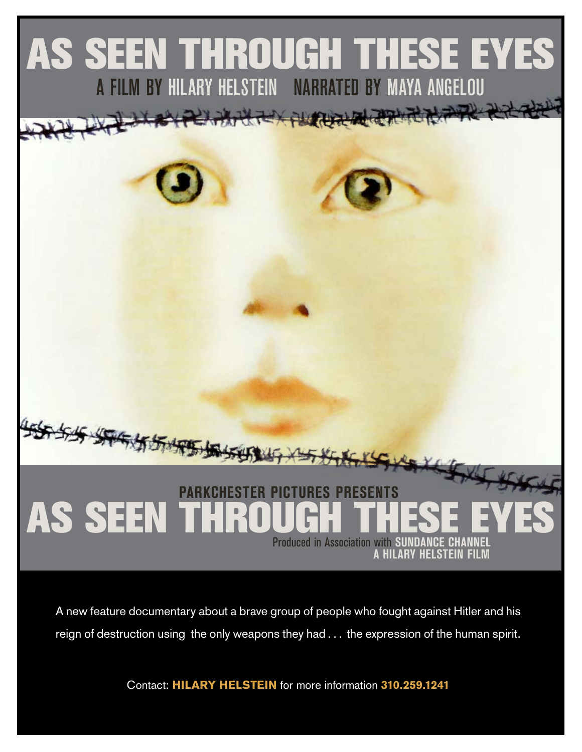

A new feature documentary about a brave group of people who fought against Hitler and his reign of destruction using the only weapons they had . . . the expression of the human spirit.

Contact: HILARY HELSTEIN for more information 310.259.1241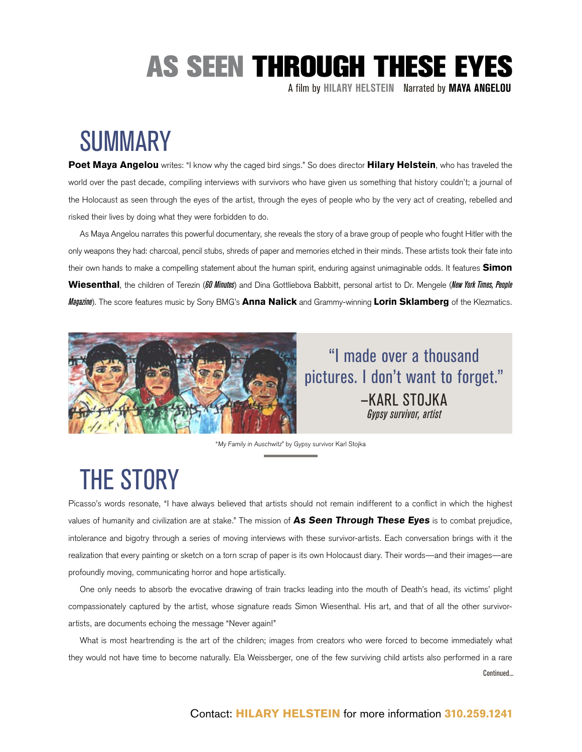A film by **Hilary Helstein** Narrated by **MAYA ANGELOU**

### SUMMARY

Poet Maya Angelou writes: "I know why the caged bird sings." So does director Hilary Helstein, who has traveled the world over the past decade, compiling interviews with survivors who have given us something that history couldn't; a journal of the Holocaust as seen through the eyes of the artist, through the eyes of people who by the very act of creating, rebelled and risked their lives by doing what they were forbidden to do.

As Maya Angelou narrates this powerful documentary, she reveals the story of a brave group of people who fought Hitler with the only weapons they had: charcoal, pencil stubs, shreds of paper and memories etched in their minds. These artists took their fate into their own hands to make a compelling statement about the human spirit, enduring against unimaginable odds. It features **Simon** Wiesenthal, the children of Terezin (*60 Minutes*) and Dina Gottliebova Babbitt, personal artist to Dr. Mengele (*New York Times, People Magazine*). The score features music by Sony BMG's Anna Nalick and Grammy-winning Lorin Sklamberg of the Klezmatics.



"I made over a thousand pictures. I don't want to forget." —KARL STOJKA *Gypsy survivor, artist*

"My Family in Auschwitz" by Gypsy survivor Karl Stojka

### THE STORY

Picasso's words resonate, "I have always believed that artists should not remain indifferent to a conflict in which the highest values of humanity and civilization are at stake." The mission of As Seen Through These Eyes is to combat prejudice, intolerance and bigotry through a series of moving interviews with these survivor-artists. Each conversation brings with it the realization that every painting or sketch on a torn scrap of paper is its own Holocaust diary. Their words—and their images—are profoundly moving, communicating horror and hope artistically.

One only needs to absorb the evocative drawing of train tracks leading into the mouth of Death's head, its victims' plight compassionately captured by the artist, whose signature reads Simon Wiesenthal. His art, and that of all the other survivorartists, are documents echoing the message "Never again!"

What is most heartrending is the art of the children; images from creators who were forced to become immediately what they would not have time to become naturally. Ela Weissberger, one of the few surviving child artists also performed in a rare Continued...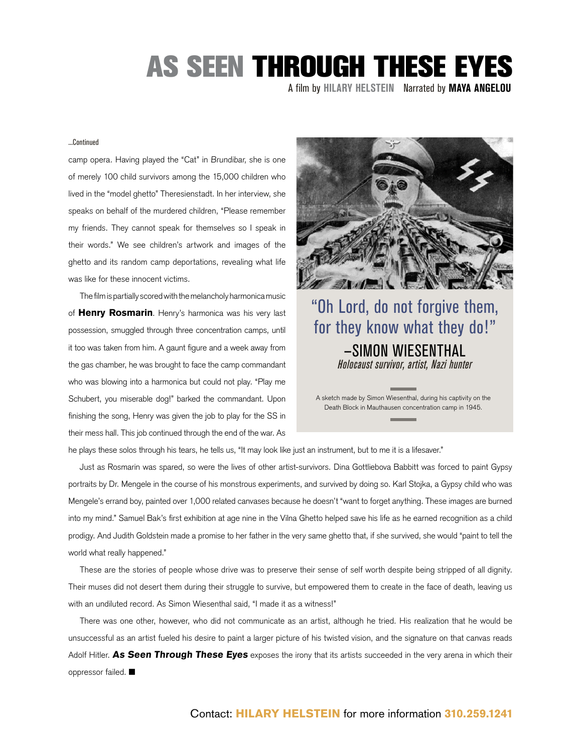A film by **Hilary Helstein** Narrated by **MAYA ANGELOU**

#### ...Continued

camp opera. Having played the "Cat" in Brundibar, she is one of merely 100 child survivors among the 15,000 children who lived in the "model ghetto" Theresienstadt. In her interview, she speaks on behalf of the murdered children, "Please remember my friends. They cannot speak for themselves so I speak in their words." We see children's artwork and images of the ghetto and its random camp deportations, revealing what life was like for these innocent victims.

The film is partially scored with the melancholy harmonica music of Henry Rosmarin. Henry's harmonica was his very last possession, smuggled through three concentration camps, until it too was taken from him. A gaunt figure and a week away from the gas chamber, he was brought to face the camp commandant who was blowing into a harmonica but could not play. "Play me Schubert, you miserable dog!" barked the commandant. Upon finishing the song, Henry was given the job to play for the SS in their mess hall. This job continued through the end of the war. As



#### "Oh Lord, do not forgive them, for they know what they do!" —SIMON WIESENTHAL *Holocaust survivor, artist, Nazi hunter*

A sketch made by Simon Wiesenthal, during his captivity on the Death Block in Mauthausen concentration camp in 1945.

he plays these solos through his tears, he tells us, "It may look like just an instrument, but to me it is a lifesaver."

Just as Rosmarin was spared, so were the lives of other artist-survivors. Dina Gottliebova Babbitt was forced to paint Gypsy portraits by Dr. Mengele in the course of his monstrous experiments, and survived by doing so. Karl Stojka, a Gypsy child who was Mengele's errand boy, painted over 1,000 related canvases because he doesn't "want to forget anything. These images are burned into my mind." Samuel Bak's first exhibition at age nine in the Vilna Ghetto helped save his life as he earned recognition as a child prodigy. And Judith Goldstein made a promise to her father in the very same ghetto that, if she survived, she would "paint to tell the world what really happened."

These are the stories of people whose drive was to preserve their sense of self worth despite being stripped of all dignity. Their muses did not desert them during their struggle to survive, but empowered them to create in the face of death, leaving us with an undiluted record. As Simon Wiesenthal said, "I made it as a witness!"

There was one other, however, who did not communicate as an artist, although he tried. His realization that he would be unsuccessful as an artist fueled his desire to paint a larger picture of his twisted vision, and the signature on that canvas reads Adolf Hitler. As Seen Through These Eyes exposes the irony that its artists succeeded in the very arena in which their oppressor failed.  $\blacksquare$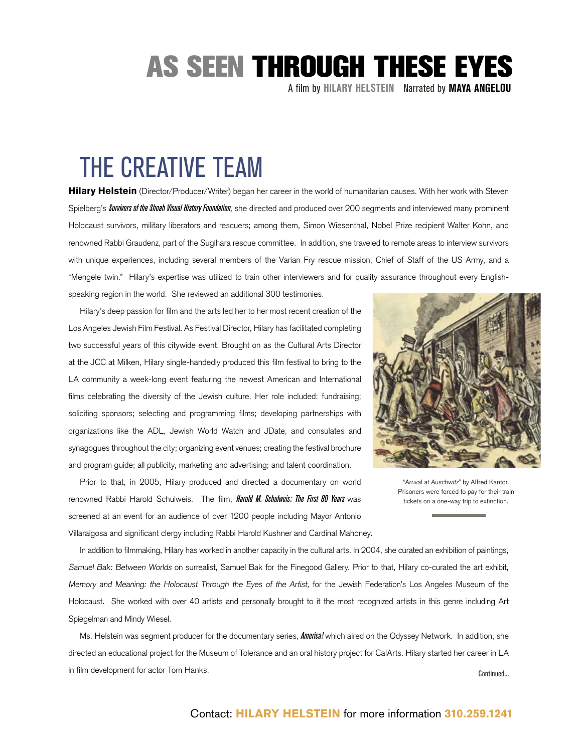A film by **Hilary Helstein** Narrated by **MAYA ANGELOU**

### THE CREATIVE TEAM

Hilary Helstein (Director/Producer/Writer) began her career in the world of humanitarian causes. With her work with Steven Spielberg's *Survivors of the Shoah Visual History Foundation*, she directed and produced over 200 segments and interviewed many prominent Holocaust survivors, military liberators and rescuers; among them, Simon Wiesenthal, Nobel Prize recipient Walter Kohn, and renowned Rabbi Graudenz, part of the Sugihara rescue committee. In addition, she traveled to remote areas to interview survivors with unique experiences, including several members of the Varian Fry rescue mission, Chief of Staff of the US Army, and a "Mengele twin." Hilary's expertise was utilized to train other interviewers and for quality assurance throughout every Englishspeaking region in the world. She reviewed an additional 300 testimonies.

Hilary's deep passion for film and the arts led her to her most recent creation of the Los Angeles Jewish Film Festival. As Festival Director, Hilary has facilitated completing two successful years of this citywide event. Brought on as the Cultural Arts Director at the JCC at Milken, Hilary single-handedly produced this film festival to bring to the LA community a week-long event featuring the newest American and International films celebrating the diversity of the Jewish culture. Her role included: fundraising; soliciting sponsors; selecting and programming films; developing partnerships with organizations like the ADL, Jewish World Watch and JDate, and consulates and synagogues throughout the city; organizing event venues; creating the festival brochure and program guide; all publicity, marketing and advertising; and talent coordination.

Prior to that, in 2005, Hilary produced and directed a documentary on world renowned Rabbi Harold Schulweis. The film, *Harold M. Schulweis: The First 80 Years* was screened at an event for an audience of over 1200 people including Mayor Antonio Villaraigosa and significant clergy including Rabbi Harold Kushner and Cardinal Mahoney.



"Arrival at Auschwitz" by Alfred Kantor. Prisoners were forced to pay for their train tickets on a one-way trip to extinction.

In addition to filmmaking, Hilary has worked in another capacity in the cultural arts. In 2004, she curated an exhibition of paintings, Samuel Bak: Between Worlds on surrealist, Samuel Bak for the Finegood Gallery. Prior to that, Hilary co-curated the art exhibit, Memory and Meaning: the Holocaust Through the Eyes of the Artist, for the Jewish Federation's Los Angeles Museum of the Holocaust. She worked with over 40 artists and personally brought to it the most recognized artists in this genre including Art Spiegelman and Mindy Wiesel.

Ms. Helstein was segment producer for the documentary series, *America!* which aired on the Odyssey Network. In addition, she directed an educational project for the Museum of Tolerance and an oral history project for CalArts. Hilary started her career in LA in film development for actor Tom Hanks. Continued...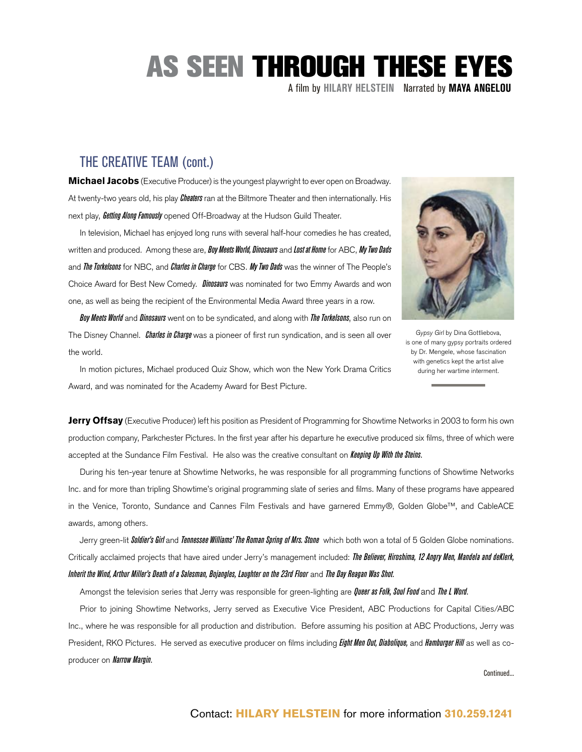A film by **Hilary Helstein** Narrated by **MAYA ANGELOU**

#### THE CREATIVE TEAM (cont.)

**Michael Jacobs** (Executive Producer) is the youngest playwright to ever open on Broadway. At twenty-two years old, his play *Cheaters* ran at the Biltmore Theater and then internationally. His next play, *Getting Along Famously* opened Off-Broadway at the Hudson Guild Theater.

In television, Michael has enjoyed long runs with several half-hour comedies he has created, written and produced. Among these are, *Boy Meets World, Dinosaurs* and *Lost at Home* for ABC, *My Two Dads* and *The Torkelsons* for NBC, and *Charles in Charge* for CBS. *My Two Dads* was the winner of The People's Choice Award for Best New Comedy. *Dinosaurs* was nominated for two Emmy Awards and won one, as well as being the recipient of the Environmental Media Award three years in a row.

*Boy Meets World* and *Dinosaurs* went on to be syndicated, and along with *The Torkelsons*, also run on The Disney Channel. *Charles in Charge* was a pioneer of first run syndication, and is seen all over the world.



Gypsy Girl by Dina Gottliebova, is one of many gypsy portraits ordered by Dr. Mengele, whose fascination with genetics kept the artist alive during her wartime interment.

In motion pictures, Michael produced Quiz Show, which won the New York Drama Critics Award, and was nominated for the Academy Award for Best Picture.

**Jerry Offsay** (Executive Producer) left his position as President of Programming for Showtime Networks in 2003 to form his own production company, Parkchester Pictures. In the first year after his departure he executive produced six films, three of which were accepted at the Sundance Film Festival. He also was the creative consultant on *Keeping Up With the Steins*.

During his ten-year tenure at Showtime Networks, he was responsible for all programming functions of Showtime Networks Inc. and for more than tripling Showtime's original programming slate of series and films. Many of these programs have appeared in the Venice, Toronto, Sundance and Cannes Film Festivals and have garnered Emmy®, Golden Globe™, and CableACE awards, among others.

Jerry green-lit *Soldier's Girl* and *Tennessee Williams' The Roman Spring of Mrs. Stone* which both won a total of 5 Golden Globe nominations. Critically acclaimed projects that have aired under Jerry's management included: *The Believer, Hiroshima, 12 Angry Men, Mandela and deKlerk, Inherit the Wind, Arthur Miller's Death of a Salesman, Bojangles, Laughter on the 23rd Floor* and *The Day Reagan Was Shot*.

Amongst the television series that Jerry was responsible for green-lighting are *Queer as Folk, Soul Food* and *The L Word*.

Prior to joining Showtime Networks, Jerry served as Executive Vice President, ABC Productions for Capital Cities/ABC Inc., where he was responsible for all production and distribution. Before assuming his position at ABC Productions, Jerry was President, RKO Pictures. He served as executive producer on films including *Eight Men Out, Diabolique,* and *Hamburger Hill* as well as coproducer on *Narrow Margin*.

Continued...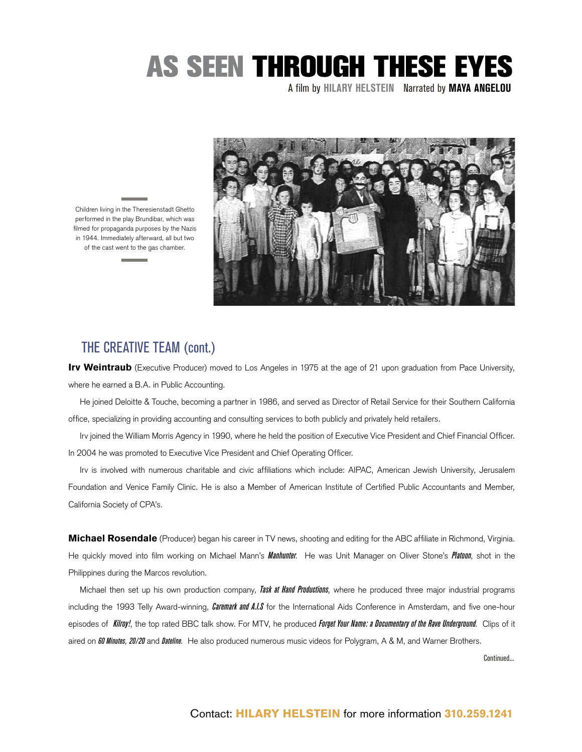A film by **Hilary Helstein** Narrated by **MAYA ANGELOU**



Children living in the Theresienstadt Ghetto performed in the play Brundibar, which was filmed for propaganda purposes by the Nazis in 1944. Immediately afterward, all but two of the cast went to the gas chamber.

#### THE CREATIVE TEAM (cont.)

Irv Weintraub (Executive Producer) moved to Los Angeles in 1975 at the age of 21 upon graduation from Pace University, where he earned a B.A. in Public Accounting.

He joined Deloitte & Touche, becoming a partner in 1986, and served as Director of Retail Service for their Southern California office, specializing in providing accounting and consulting services to both publicly and privately held retailers.

Irv joined the William Morris Agency in 1990, where he held the position of Executive Vice President and Chief Financial Officer. In 2004 he was promoted to Executive Vice President and Chief Operating Officer.

Irv is involved with numerous charitable and civic affiliations which include: AIPAC, American Jewish University, Jerusalem Foundation and Venice Family Clinic. He is also a Member of American Institute of Certified Public Accountants and Member, California Society of CPA's.

**Michael Rosendale** (Producer) began his career in TV news, shooting and editing for the ABC affiliate in Richmond, Virginia. He quickly moved into film working on Michael Mann's *Manhunter*. He was Unit Manager on Oliver Stone's *Platoon*, shot in the Philippines during the Marcos revolution.

Michael then set up his own production company, *Task at Hand Productions*, where he produced three major industrial programs including the 1993 Telly Award-winning, *Caremark and A.I.S* for the International Aids Conference in Amsterdam, and five one-hour episodes of *Kilroy!*, the top rated BBC talk show. For MTV, he produced *Forget Your Name: a Documentary of the Rave Underground*. Clips of it aired on *60 Minutes*, *20/20* and *Dateline*. He also produced numerous music videos for Polygram, A & M, and Warner Brothers.

Continued...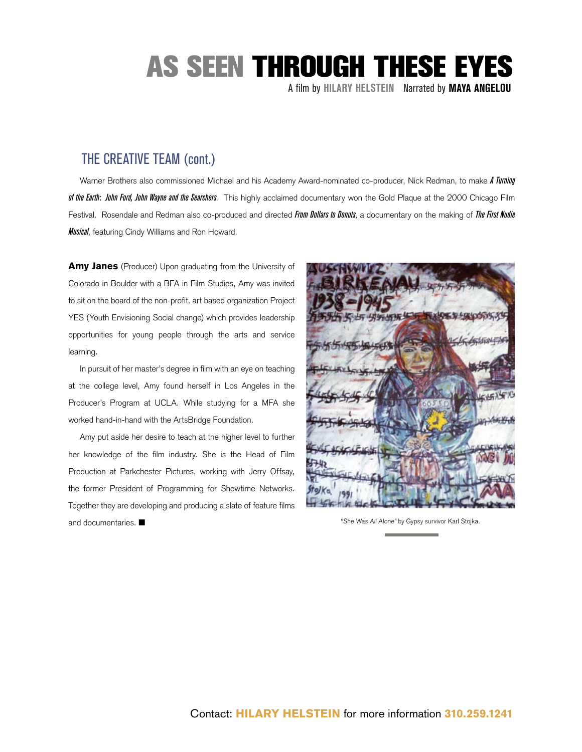A film by **Hilary Helstein** Narrated by **MAYA ANGELOU**

#### THE CREATIVE TEAM (cont.)

Warner Brothers also commissioned Michael and his Academy Award-nominated co-producer, Nick Redman, to make *A Turning of the Earth*: *John Ford, John Wayne and the Searchers*. This highly acclaimed documentary won the Gold Plaque at the 2000 Chicago Film Festival. Rosendale and Redman also co-produced and directed *From Dollars to Donuts*, a documentary on the making of *The First Nudie Musical*, featuring Cindy Williams and Ron Howard.

Amy Janes (Producer) Upon graduating from the University of Colorado in Boulder with a BFA in Film Studies, Amy was invited to sit on the board of the non-profit, art based organization Project YES (Youth Envisioning Social change) which provides leadership opportunities for young people through the arts and service learning.

In pursuit of her master's degree in film with an eye on teaching at the college level, Amy found herself in Los Angeles in the Producer's Program at UCLA. While studying for a MFA she worked hand-in-hand with the ArtsBridge Foundation.

Amy put aside her desire to teach at the higher level to further her knowledge of the film industry. She is the Head of Film Production at Parkchester Pictures, working with Jerry Offsay, the former President of Programming for Showtime Networks. Together they are developing and producing a slate of feature films and documentaries.  $\blacksquare$ 



"She Was All Alone" by Gypsy survivor Karl Stojka.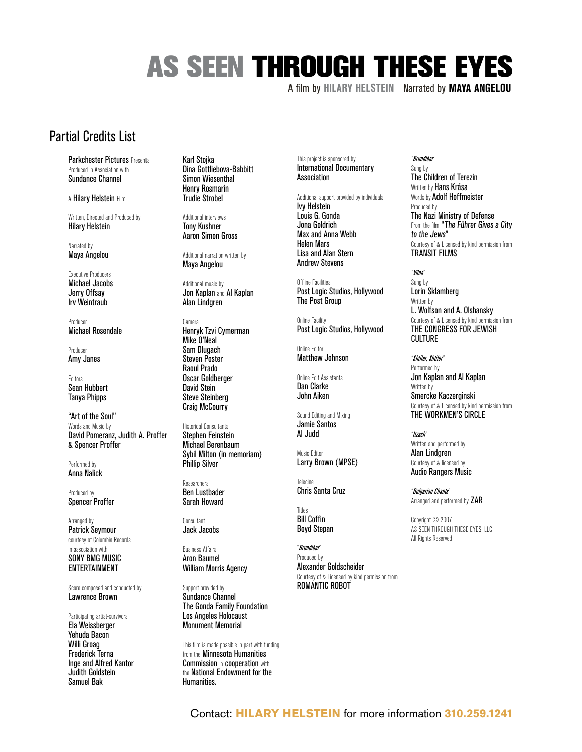A film by **Hilary Helstein** Narrated by **MAYA ANGELOU**

#### Partial Credits List

Parkchester Pictures Presents Produced in Association with Sundance Channel

A Hilary Helstein Film

Written, Directed and Produced by Hilary Helstein

Narrated by Maya Angelou

Executive Producers Michael Jacobs Jerry Offsay Irv Weintraub

Producer Michael Rosendale

Producer Amy Janes

Editors Sean Hubbert Tanya Phipps

"Art of the Soul" Words and Music by David Pomeranz, Judith A. Proffer & Spencer Proffer

Performed by Anna Nalick

Produced by Spencer Proffer

Arranged by Patrick Seymour courtesy of Columbia Records In association with SONY BMG MUSIC ENTERTAINMENT

Score composed and conducted by Lawrence Brown

Participating artist-survivors Ela Weissberger Yehuda Bacon Willi Groag Frederick Terna Inge and Alfred Kantor Judith Goldstein Samuel Bak

Karl Stojka Dina Gottliebova-Babbitt Simon Wiesenthal Henry Rosmarin Trudie Strobel

Additional interviews Tony Kushner Aaron Simon Gross

Additional narration written by Maya Angelou

Additional music by Jon Kaplan and Al Kaplan Alan Lindgren

Camera Henryk Tzvi Cymerman Mike O'Neal Sam Dlugach Steven Poster Raoul Prado Oscar Goldberger David Stein Steve Steinberg Craig McCourry

Historical Consultants Stephen Feinstein Michael Berenbaum Sybil Milton (in memoriam) Phillip Silver

Researchers Ben Lustbader Sarah Howard

Consultant Jack Jacobs

Business Affairs Aron Baumel William Morris Agency

Support provided by Sundance Channel The Gonda Family Foundation Los Angeles Holocaust Monument Memorial

This film is made possible in part with funding from the Minnesota Humanities Commission in cooperation with the National Endowment for the Humanities.

This project is sponsored by International Documentary Association

Additional support provided by individuals

Ivy Helstein Louis G. Gonda Jona Goldrich Max and Anna Webb Helen Mars Lisa and Alan Stern Andrew Stevens

Offline Facilities Post Logic Studios, Hollywood The Post Group

Online Facility Post Logic Studios, Hollywood

Online Editor Matthew Johnson

Online Edit Assistants Dan Clarke John Aiken

Sound Editing and Mixing Jamie Santos Al Judd

Music Editor Larry Brown (MPSE)

Telecine Chris Santa Cruz

Titles Bill Coffin Boyd Stepan

"*Brundibar*" Produced by Alexander Goldscheider Courtesy of & Licensed by kind permission from ROMANTIC ROBOT

#### "*Brundibar*"

Sung by The Children of Terezin Written by **Hans Krása** Words by Adolf Hoffmeister Produced by The Nazi Ministry of Defense From the film "The Führer Gives a City to the Jews" Courtesy of & Licensed by kind permission from TRANSIT FILMS

"*Vilna*" Sung by Lorin Sklamberg Written by L. Wolfson and A. Olshansky Courtesy of & Licensed by kind permission from THE CONGRESS FOR JEWISH CIII TURF

"*Shtiler, Shtiler*" Performed by Jon Kaplan and Al Kaplan Written by Smercke Kaczerginski Courtesy of & Licensed by kind permission from THE WORKMEN'S CIRCLE

"*Itzach*" Written and performed by Alan Lindgren Courtesy of & licensed by Audio Rangers Music

"*Bulgarian Chants*" Arranged and performed by ZAR

Copyright © 2007 AS SEEN THROUGH THESE EYES, LLC All Rights Reserved